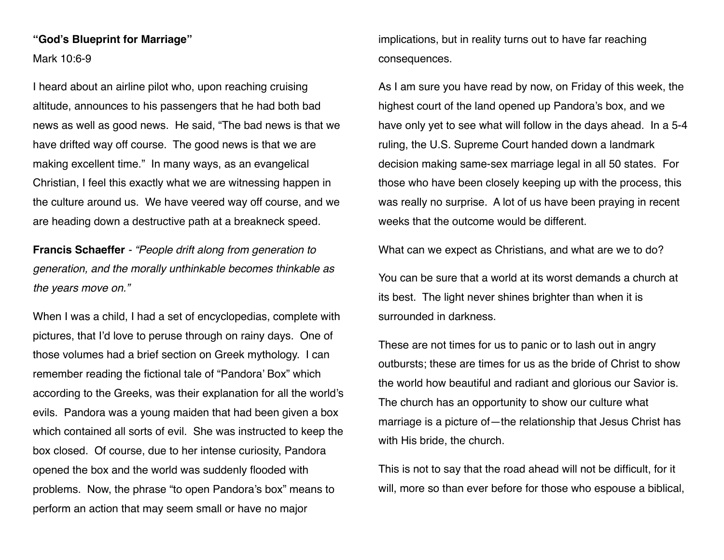#### **"God's Blueprint for Marriage"**

Mark 10:6-9

I heard about an airline pilot who, upon reaching cruising altitude, announces to his passengers that he had both bad news as well as good news. He said, "The bad news is that we have drifted way off course. The good news is that we are making excellent time." In many ways, as an evangelical Christian, I feel this exactly what we are witnessing happen in the culture around us. We have veered way off course, and we are heading down a destructive path at a breakneck speed.

**Francis Schaeffer** *- "People drift along from generation to generation, and the morally unthinkable becomes thinkable as the years move on."*

When I was a child, I had a set of encyclopedias, complete with pictures, that I'd love to peruse through on rainy days. One of those volumes had a brief section on Greek mythology. I can remember reading the fictional tale of "Pandora' Box" which according to the Greeks, was their explanation for all the world's evils. Pandora was a young maiden that had been given a box which contained all sorts of evil. She was instructed to keep the box closed. Of course, due to her intense curiosity, Pandora opened the box and the world was suddenly flooded with problems. Now, the phrase "to open Pandora's box" means to perform an action that may seem small or have no major

implications, but in reality turns out to have far reaching consequences.

As I am sure you have read by now, on Friday of this week, the highest court of the land opened up Pandora's box, and we have only yet to see what will follow in the days ahead. In a 5-4 ruling, the U.S. Supreme Court handed down a landmark decision making same-sex marriage legal in all 50 states. For those who have been closely keeping up with the process, this was really no surprise. A lot of us have been praying in recent weeks that the outcome would be different.

What can we expect as Christians, and what are we to do?

You can be sure that a world at its worst demands a church at its best. The light never shines brighter than when it is surrounded in darkness.

These are not times for us to panic or to lash out in angry outbursts; these are times for us as the bride of Christ to show the world how beautiful and radiant and glorious our Savior is. The church has an opportunity to show our culture what marriage is a picture of—the relationship that Jesus Christ has with His bride, the church.

This is not to say that the road ahead will not be difficult, for it will, more so than ever before for those who espouse a biblical,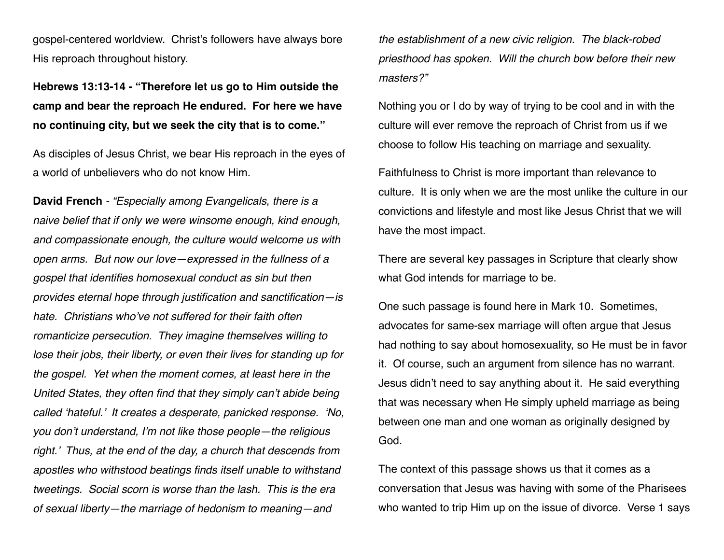gospel-centered worldview. Christ's followers have always bore His reproach throughout history.

**Hebrews 13:13-14 - "Therefore let us go to Him outside the camp and bear the reproach He endured. For here we have no continuing city, but we seek the city that is to come."** 

As disciples of Jesus Christ, we bear His reproach in the eyes of a world of unbelievers who do not know Him.

**David French** *- "Especially among Evangelicals, there is a naive belief that if only we were winsome enough, kind enough, and compassionate enough, the culture would welcome us with open arms. But now our love—expressed in the fullness of a gospel that identifies homosexual conduct as sin but then provides eternal hope through justification and sanctification—is hate. Christians who've not suffered for their faith often romanticize persecution. They imagine themselves willing to lose their jobs, their liberty, or even their lives for standing up for the gospel. Yet when the moment comes, at least here in the United States, they often find that they simply can't abide being called 'hateful.' It creates a desperate, panicked response. 'No, you don't understand, I'm not like those people—the religious right.' Thus, at the end of the day, a church that descends from apostles who withstood beatings finds itself unable to withstand tweetings. Social scorn is worse than the lash. This is the era of sexual liberty—the marriage of hedonism to meaning—and* 

*the establishment of a new civic religion. The black-robed priesthood has spoken. Will the church bow before their new masters?"*

Nothing you or I do by way of trying to be cool and in with the culture will ever remove the reproach of Christ from us if we choose to follow His teaching on marriage and sexuality.

Faithfulness to Christ is more important than relevance to culture. It is only when we are the most unlike the culture in our convictions and lifestyle and most like Jesus Christ that we will have the most impact.

There are several key passages in Scripture that clearly show what God intends for marriage to be.

One such passage is found here in Mark 10. Sometimes, advocates for same-sex marriage will often argue that Jesus had nothing to say about homosexuality, so He must be in favor it. Of course, such an argument from silence has no warrant. Jesus didn't need to say anything about it. He said everything that was necessary when He simply upheld marriage as being between one man and one woman as originally designed by God.

The context of this passage shows us that it comes as a conversation that Jesus was having with some of the Pharisees who wanted to trip Him up on the issue of divorce. Verse 1 says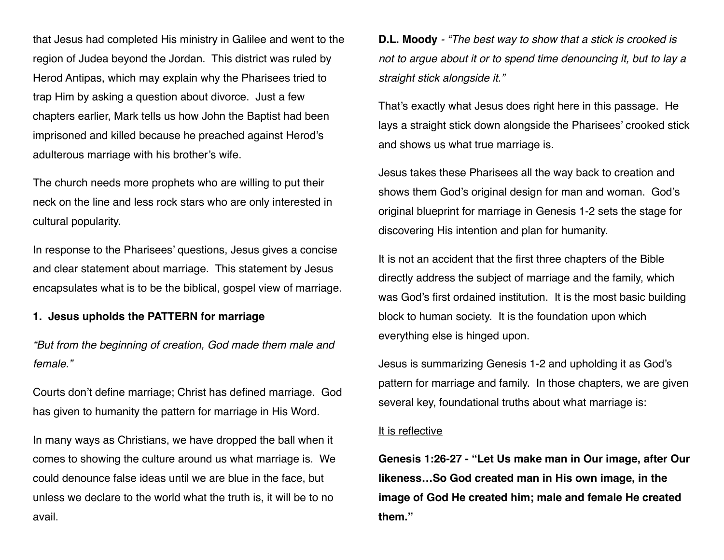that Jesus had completed His ministry in Galilee and went to the region of Judea beyond the Jordan. This district was ruled by Herod Antipas, which may explain why the Pharisees tried to trap Him by asking a question about divorce. Just a few chapters earlier, Mark tells us how John the Baptist had been imprisoned and killed because he preached against Herod's adulterous marriage with his brother's wife.

The church needs more prophets who are willing to put their neck on the line and less rock stars who are only interested in cultural popularity.

In response to the Pharisees' questions, Jesus gives a concise and clear statement about marriage. This statement by Jesus encapsulates what is to be the biblical, gospel view of marriage.

# **1. Jesus upholds the PATTERN for marriage**

*"But from the beginning of creation, God made them male and female."*

Courts don't define marriage; Christ has defined marriage. God has given to humanity the pattern for marriage in His Word.

In many ways as Christians, we have dropped the ball when it comes to showing the culture around us what marriage is. We could denounce false ideas until we are blue in the face, but unless we declare to the world what the truth is, it will be to no avail.

**D.L. Moody** *- "The best way to show that a stick is crooked is not to argue about it or to spend time denouncing it, but to lay a straight stick alongside it."*

That's exactly what Jesus does right here in this passage. He lays a straight stick down alongside the Pharisees' crooked stick and shows us what true marriage is.

Jesus takes these Pharisees all the way back to creation and shows them God's original design for man and woman. God's original blueprint for marriage in Genesis 1-2 sets the stage for discovering His intention and plan for humanity.

It is not an accident that the first three chapters of the Bible directly address the subject of marriage and the family, which was God's first ordained institution. It is the most basic building block to human society. It is the foundation upon which everything else is hinged upon.

Jesus is summarizing Genesis 1-2 and upholding it as God's pattern for marriage and family. In those chapters, we are given several key, foundational truths about what marriage is:

#### It is reflective

**Genesis 1:26-27 - "Let Us make man in Our image, after Our likeness…So God created man in His own image, in the image of God He created him; male and female He created them."**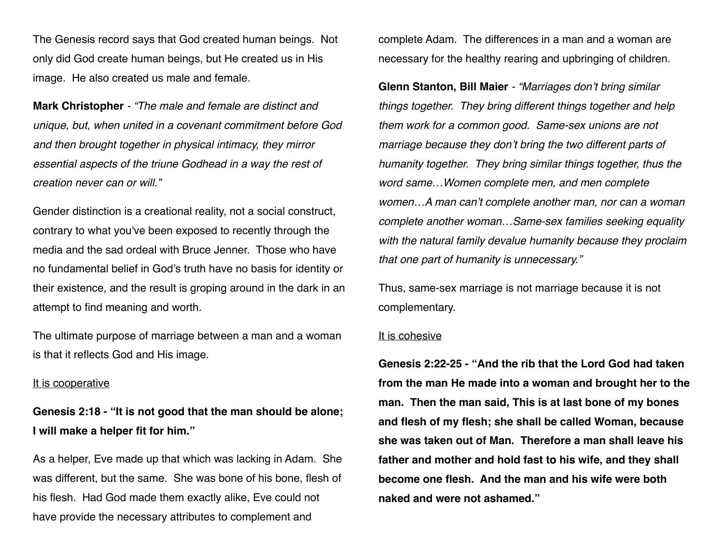The Genesis record says that God created human beings. Not only did God create human beings, but He created us in His image. He also created us male and female.

**Mark Christopher** *- "The male and female are distinct and unique, but, when united in a covenant commitment before God and then brought together in physical intimacy, they mirror essential aspects of the triune Godhead in a way the rest of creation never can or will."*

Gender distinction is a creational reality, not a social construct, contrary to what you've been exposed to recently through the media and the sad ordeal with Bruce Jenner. Those who have no fundamental belief in God's truth have no basis for identity or their existence, and the result is groping around in the dark in an attempt to find meaning and worth.

The ultimate purpose of marriage between a man and a woman is that it reflects God and His image.

#### It is cooperative

**Genesis 2:18 - "It is not good that the man should be alone; I will make a helper fit for him."**

As a helper, Eve made up that which was lacking in Adam. She was different, but the same. She was bone of his bone, flesh of his flesh. Had God made them exactly alike, Eve could not have provide the necessary attributes to complement and

complete Adam. The differences in a man and a woman are necessary for the healthy rearing and upbringing of children.

**Glenn Stanton, Bill Maier** *- "Marriages don't bring similar things together. They bring different things together and help them work for a common good. Same-sex unions are not marriage because they don't bring the two different parts of humanity together. They bring similar things together, thus the word same…Women complete men, and men complete women…A man can't complete another man, nor can a woman complete another woman…Same-sex families seeking equality with the natural family devalue humanity because they proclaim that one part of humanity is unnecessary."* 

Thus, same-sex marriage is not marriage because it is not complementary.

#### It is cohesive

**Genesis 2:22-25 - "And the rib that the Lord God had taken from the man He made into a woman and brought her to the man. Then the man said, This is at last bone of my bones and flesh of my flesh; she shall be called Woman, because she was taken out of Man. Therefore a man shall leave his father and mother and hold fast to his wife, and they shall become one flesh. And the man and his wife were both naked and were not ashamed."**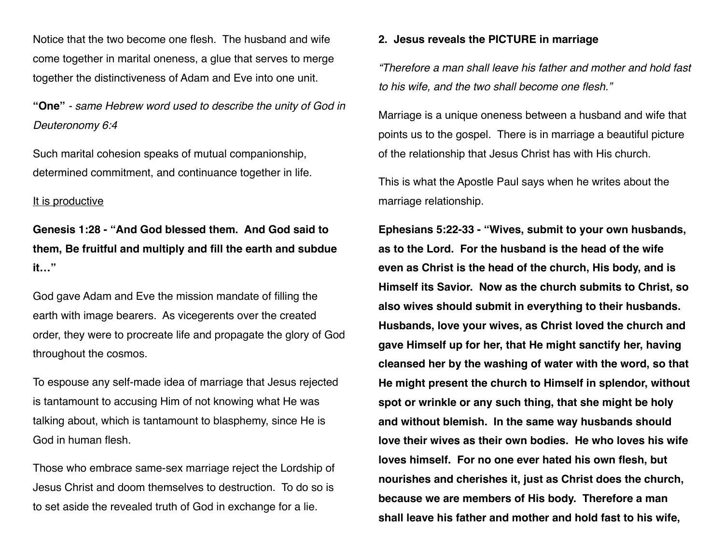Notice that the two become one flesh. The husband and wife come together in marital oneness, a glue that serves to merge together the distinctiveness of Adam and Eve into one unit.

**"One"** *- same Hebrew word used to describe the unity of God in Deuteronomy 6:4* 

Such marital cohesion speaks of mutual companionship, determined commitment, and continuance together in life.

# It is productive

**Genesis 1:28 - "And God blessed them. And God said to them, Be fruitful and multiply and fill the earth and subdue it…"**

God gave Adam and Eve the mission mandate of filling the earth with image bearers. As vicegerents over the created order, they were to procreate life and propagate the glory of God throughout the cosmos.

To espouse any self-made idea of marriage that Jesus rejected is tantamount to accusing Him of not knowing what He was talking about, which is tantamount to blasphemy, since He is God in human flesh.

Those who embrace same-sex marriage reject the Lordship of Jesus Christ and doom themselves to destruction. To do so is to set aside the revealed truth of God in exchange for a lie.

### **2. Jesus reveals the PICTURE in marriage**

*"Therefore a man shall leave his father and mother and hold fast to his wife, and the two shall become one flesh."*

Marriage is a unique oneness between a husband and wife that points us to the gospel. There is in marriage a beautiful picture of the relationship that Jesus Christ has with His church.

This is what the Apostle Paul says when he writes about the marriage relationship.

**Ephesians 5:22-33 - "Wives, submit to your own husbands, as to the Lord. For the husband is the head of the wife even as Christ is the head of the church, His body, and is Himself its Savior. Now as the church submits to Christ, so also wives should submit in everything to their husbands. Husbands, love your wives, as Christ loved the church and gave Himself up for her, that He might sanctify her, having cleansed her by the washing of water with the word, so that He might present the church to Himself in splendor, without spot or wrinkle or any such thing, that she might be holy and without blemish. In the same way husbands should love their wives as their own bodies. He who loves his wife loves himself. For no one ever hated his own flesh, but nourishes and cherishes it, just as Christ does the church, because we are members of His body. Therefore a man shall leave his father and mother and hold fast to his wife,**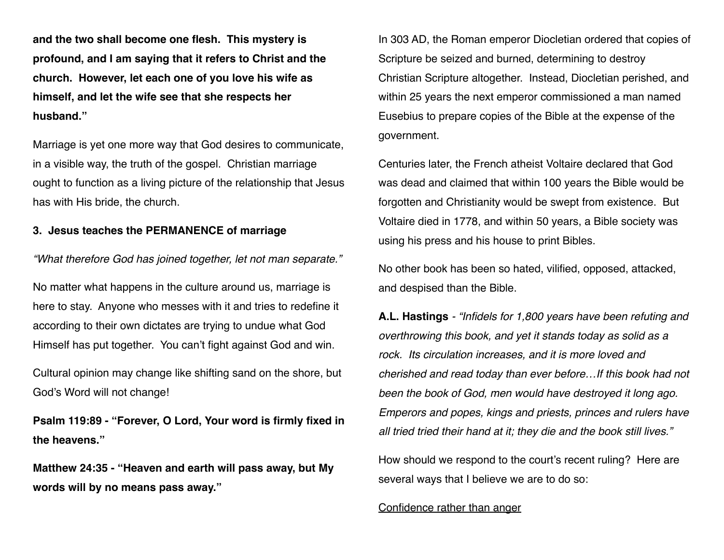**and the two shall become one flesh. This mystery is profound, and I am saying that it refers to Christ and the church. However, let each one of you love his wife as himself, and let the wife see that she respects her husband."**

Marriage is yet one more way that God desires to communicate, in a visible way, the truth of the gospel. Christian marriage ought to function as a living picture of the relationship that Jesus has with His bride, the church.

## **3. Jesus teaches the PERMANENCE of marriage**

*"What therefore God has joined together, let not man separate."*

No matter what happens in the culture around us, marriage is here to stay. Anyone who messes with it and tries to redefine it according to their own dictates are trying to undue what God Himself has put together. You can't fight against God and win.

Cultural opinion may change like shifting sand on the shore, but God's Word will not change!

**Psalm 119:89 - "Forever, O Lord, Your word is firmly fixed in the heavens."**

**Matthew 24:35 - "Heaven and earth will pass away, but My words will by no means pass away."**

In 303 AD, the Roman emperor Diocletian ordered that copies of Scripture be seized and burned, determining to destroy Christian Scripture altogether. Instead, Diocletian perished, and within 25 years the next emperor commissioned a man named Eusebius to prepare copies of the Bible at the expense of the government.

Centuries later, the French atheist Voltaire declared that God was dead and claimed that within 100 years the Bible would be forgotten and Christianity would be swept from existence. But Voltaire died in 1778, and within 50 years, a Bible society was using his press and his house to print Bibles.

No other book has been so hated, vilified, opposed, attacked, and despised than the Bible.

**A.L. Hastings** *- "Infidels for 1,800 years have been refuting and overthrowing this book, and yet it stands today as solid as a rock. Its circulation increases, and it is more loved and cherished and read today than ever before…If this book had not been the book of God, men would have destroyed it long ago. Emperors and popes, kings and priests, princes and rulers have all tried tried their hand at it; they die and the book still lives."*

How should we respond to the court's recent ruling? Here are several ways that I believe we are to do so:

Confidence rather than anger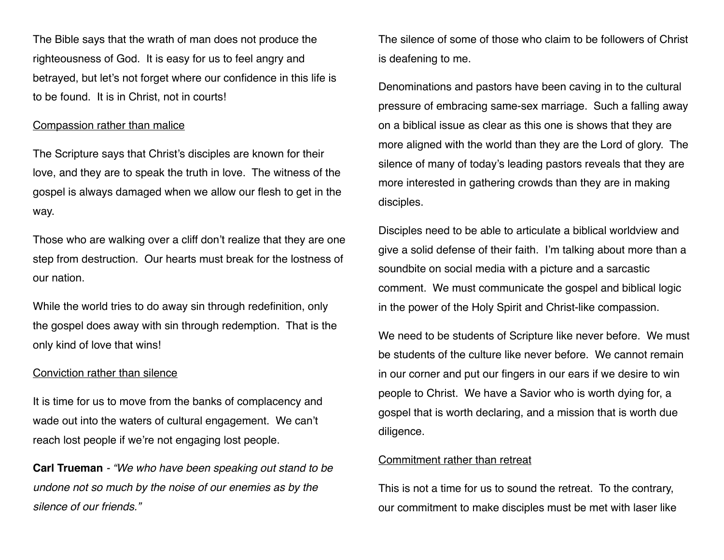The Bible says that the wrath of man does not produce the righteousness of God. It is easy for us to feel angry and betrayed, but let's not forget where our confidence in this life is to be found. It is in Christ, not in courts!

## Compassion rather than malice

The Scripture says that Christ's disciples are known for their love, and they are to speak the truth in love. The witness of the gospel is always damaged when we allow our flesh to get in the way.

Those who are walking over a cliff don't realize that they are one step from destruction. Our hearts must break for the lostness of our nation.

While the world tries to do away sin through redefinition, only the gospel does away with sin through redemption. That is the only kind of love that wins!

### Conviction rather than silence

It is time for us to move from the banks of complacency and wade out into the waters of cultural engagement. We can't reach lost people if we're not engaging lost people.

**Carl Trueman** *- "We who have been speaking out stand to be undone not so much by the noise of our enemies as by the silence of our friends."* 

The silence of some of those who claim to be followers of Christ is deafening to me.

Denominations and pastors have been caving in to the cultural pressure of embracing same-sex marriage. Such a falling away on a biblical issue as clear as this one is shows that they are more aligned with the world than they are the Lord of glory. The silence of many of today's leading pastors reveals that they are more interested in gathering crowds than they are in making disciples.

Disciples need to be able to articulate a biblical worldview and give a solid defense of their faith. I'm talking about more than a soundbite on social media with a picture and a sarcastic comment. We must communicate the gospel and biblical logic in the power of the Holy Spirit and Christ-like compassion.

We need to be students of Scripture like never before. We must be students of the culture like never before. We cannot remain in our corner and put our fingers in our ears if we desire to win people to Christ. We have a Savior who is worth dying for, a gospel that is worth declaring, and a mission that is worth due diligence.

#### Commitment rather than retreat

This is not a time for us to sound the retreat. To the contrary, our commitment to make disciples must be met with laser like